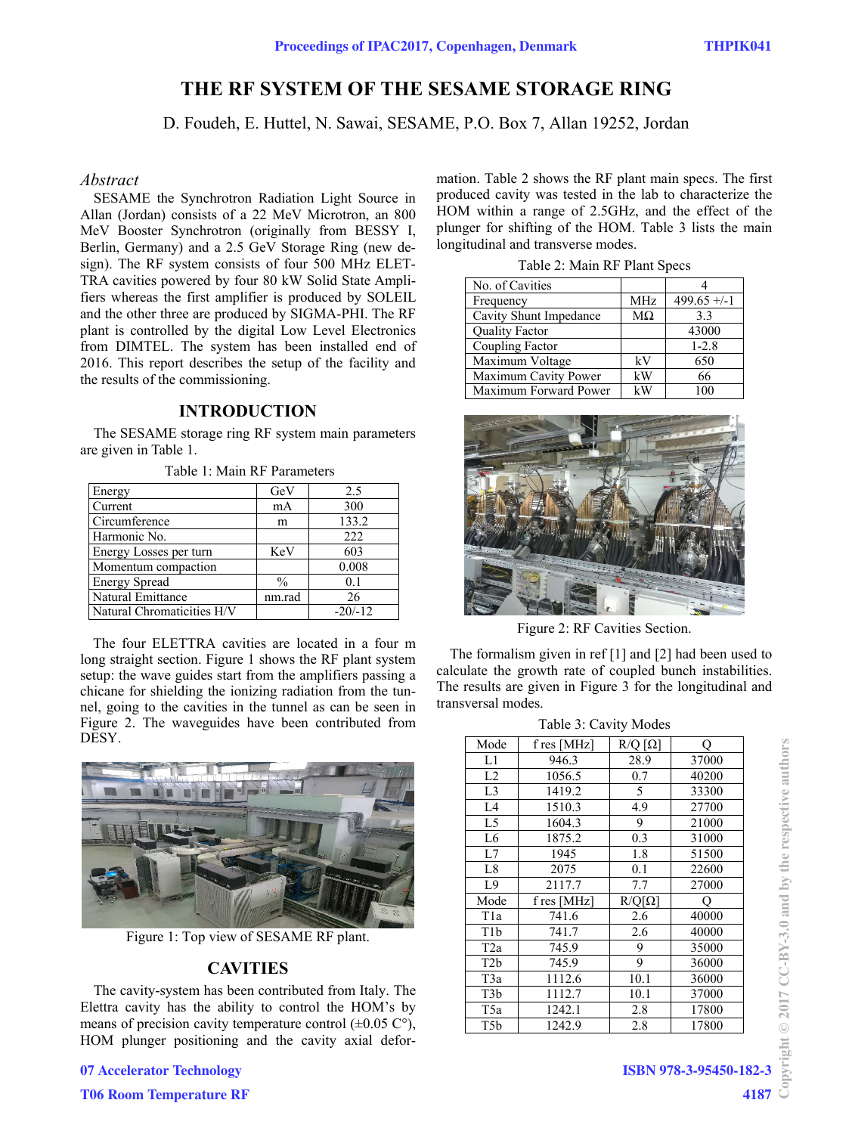# **THE RF SYSTEM OF THE SESAME STORAGE RING**

D. Foudeh, E. Huttel, N. Sawai, SESAME, P.O. Box 7, Allan 19252, Jordan

#### *Abstract*

SESAME the Synchrotron Radiation Light Source in Allan (Jordan) consists of a 22 MeV Microtron, an 800 MeV Booster Synchrotron (originally from BESSY I, Berlin, Germany) and a 2.5 GeV Storage Ring (new design). The RF system consists of four 500 MHz ELET-TRA cavities powered by four 80 kW Solid State Amplifiers whereas the first amplifier is produced by SOLEIL and the other three are produced by SIGMA-PHI. The RF plant is controlled by the digital Low Level Electronics from DIMTEL. The system has been installed end of 2016. This report describes the setup of the facility and the results of the commissioning.

#### **INTRODUCTION**

The SESAME storage ring RF system main parameters are given in Table 1.

| Energy                     | GeV           | 2.5       |
|----------------------------|---------------|-----------|
| Current                    | mA            | 300       |
| Circumference              | m             | 133.2     |
| Harmonic No.               |               | 222       |
| Energy Losses per turn     | KeV           | 603       |
| Momentum compaction        |               | 0.008     |
| <b>Energy Spread</b>       | $\frac{0}{0}$ | 0.1       |
| Natural Emittance          | nm.rad        | 26        |
| Natural Chromaticities H/V |               | $-20/-12$ |

Table 1: Main RF Parameters

The four ELETTRA cavities are located in a four m long straight section. Figure 1 shows the RF plant system setup: the wave guides start from the amplifiers passing a chicane for shielding the ionizing radiation from the tunnel, going to the cavities in the tunnel as can be seen in Figure 2. The waveguides have been contributed from DESY.



Figure 1: Top view of SESAME RF plant.

#### **CAVITIES**

The cavity-system has been contributed from Italy. The Elettra cavity has the ability to control the HOM's by means of precision cavity temperature control  $(\pm 0.05 \degree C)$ , HOM plunger positioning and the cavity axial deformation. Table 2 shows the RF plant main specs. The first produced cavity was tested in the lab to characterize the HOM within a range of 2.5GHz, and the effect of the plunger for shifting of the HOM. Table 3 lists the main longitudinal and transverse modes.

| No. of Cavities        |           |               |
|------------------------|-----------|---------------|
| Frequency              | MHz       | $499.65 + -1$ |
| Cavity Shunt Impedance | $M\Omega$ | 3.3           |
| <b>Quality Factor</b>  |           | 43000         |
| Coupling Factor        |           | $1 - 2.8$     |
| Maximum Voltage        | kV        | 650           |
| Maximum Cavity Power   | kW        | 66            |
| Maximum Forward Power  | kW        | 100           |

Table 2: Main RF Plant Specs



Figure 2: RF Cavities Section.

The formalism given in ref [1] and [2] had been used to calculate the growth rate of coupled bunch instabilities. The results are given in Figure 3 for the longitudinal and transversal modes.

| Table 3: Cavity Modes |             |                    |       |  |
|-----------------------|-------------|--------------------|-------|--|
| Mode                  | f res [MHz] | $R/Q$ [ $\Omega$ ] | О     |  |
| L1                    | 946.3       | 28.9               | 37000 |  |
| L2                    | 1056.5      | 0.7                | 40200 |  |
| L <sub>3</sub>        | 1419.2      | 5                  | 33300 |  |
| L4                    | 1510.3      | 4.9                | 27700 |  |
| L <sub>5</sub>        | 1604.3      | 9                  | 21000 |  |
| L <sub>6</sub>        | 1875.2      | 0.3                | 31000 |  |
| L7                    | 1945        | 1.8                | 51500 |  |
| L <sub>8</sub>        | 2075        | 0.1                | 22600 |  |
| L9                    | 2117.7      | 7.7                | 27000 |  |
| Mode                  | f res [MHz] | $R/Q[\Omega]$      | О     |  |
| T <sub>1</sub> a      | 741.6       | 2.6                | 40000 |  |
| T <sub>1</sub> b      | 741.7       | 2.6                | 40000 |  |
| T <sub>2</sub> a      | 745.9       | 9                  | 35000 |  |
| T <sub>2</sub> b      | 745.9       | 9                  | 36000 |  |
| T3a                   | 1112.6      | 10.1               | 36000 |  |
| T3b                   | 1112.7      | 10.1               | 37000 |  |
| T5a                   | 1242.1      | 2.8                | 17800 |  |
| T5b                   | 1242.9      | 2.8                | 17800 |  |

**4187**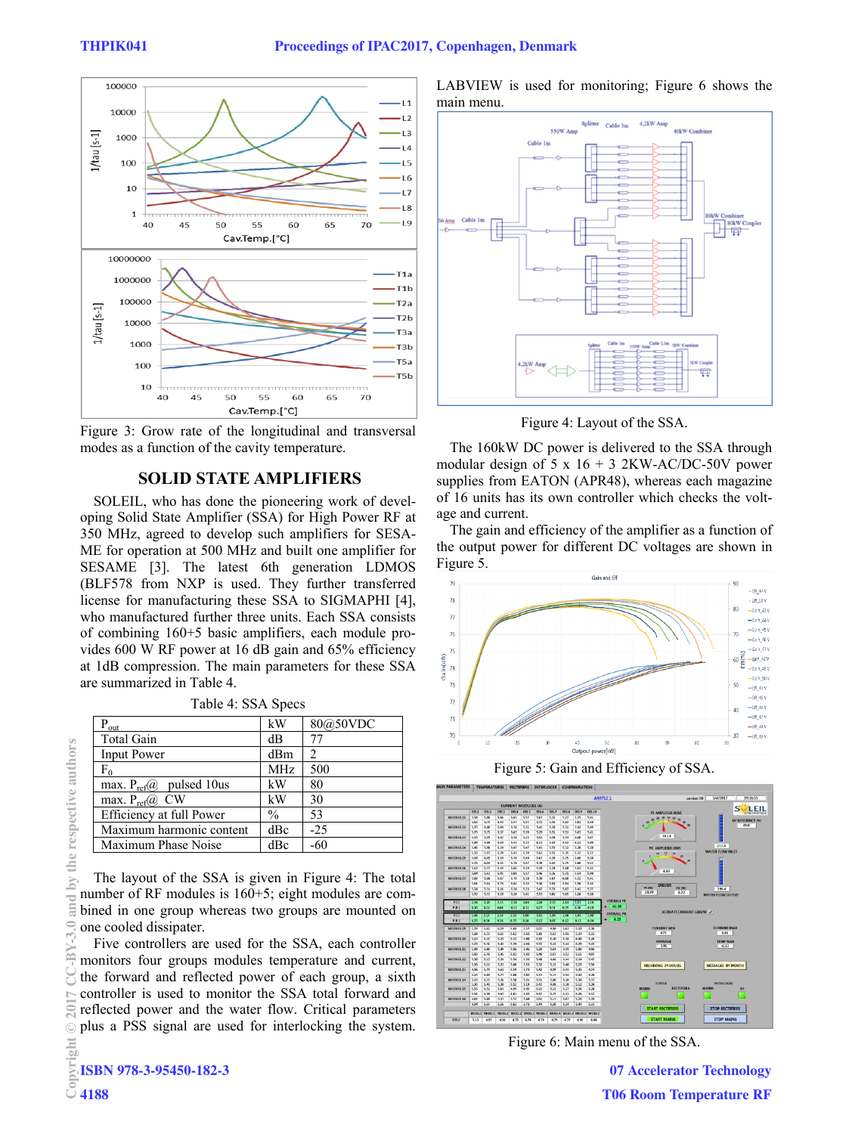

Figure 3: Grow rate of the longitudinal and transversal modes as a function of the cavity temperature.

#### **SOLID STATE AMPLIFIERS**

SOLEIL, who has done the pioneering work of developing Solid State Amplifier (SSA) for High Power RF at 350 MHz, agreed to develop such amplifiers for SESA-ME for operation at 500 MHz and built one amplifier for SESAME [3]. The latest 6th generation LDMOS (BLF578 from NXP is used. They further transferred license for manufacturing these SSA to SIGMAPHI [4], who manufactured further three units. Each SSA consists of combining 160+5 basic amplifiers, each module provides 600 W RF power at 16 dB gain and 65% efficiency at 1dB compression. The main parameters for these SSA are summarized in Table 4.

| Table 4: SSA Specs |  |  |
|--------------------|--|--|
|--------------------|--|--|

| $P_{out}$                     | kW            | 80@50VDC |
|-------------------------------|---------------|----------|
| <b>Total Gain</b>             | dB            | 77       |
| <b>Input Power</b>            | dBm           |          |
| $F_0$                         | <b>MHz</b>    | 500      |
| max. $P_{ref}(a)$ pulsed 10us | kW            | 80       |
| max. $P_{ref}(a)$ CW          | kW            | 30       |
| Efficiency at full Power      | $\frac{0}{0}$ | 53       |
| Maximum harmonic content      | dBc           | $-25$    |
| Maximum Phase Noise           | dBc           | -60      |

The layout of the SSA is given in Figure 4: The total number of RF modules is 160+5; eight modules are combined in one group whereas two groups are mounted on one cooled dissipater.

Five controllers are used for the SSA, each controller monitors four groups modules temperature and current, the forward and reflected power of each group, a sixth controller is used to monitor the SSA total forward and reflected power and the water flow. Critical parameters plus a PSS signal are used for interlocking the system. LABVIEW is used for monitoring; Figure 6 shows the main menu.



Figure 4: Layout of the SSA.

The 160kW DC power is delivered to the SSA through modular design of 5 x  $16 + 3$  2KW-AC/DC-50V power supplies from EATON (APR48), whereas each magazine of 16 units has its own controller which checks the voltage and current.

The gain and efficiency of the amplifier as a function of the output power for different DC voltages are shown in Figure 5.







Figure 6: Main menu of the SSA.

**07 Accelerator Technology T06 Room Temperature RF**